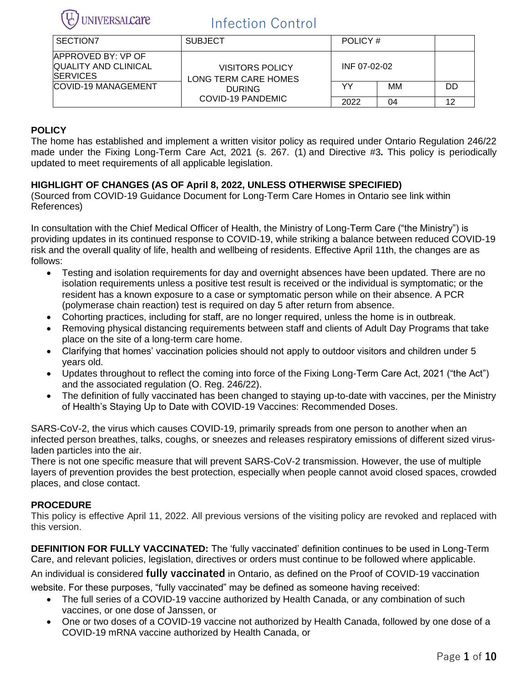

| SECTION7                                                                      | <b>SUBJECT</b>                          | POLICY #     |    |    |
|-------------------------------------------------------------------------------|-----------------------------------------|--------------|----|----|
| <b>IAPPROVED BY: VP OF</b><br><b>QUALITY AND CLINICAL</b><br><b>ISERVICES</b> | VISITORS POLICY<br>LONG TERM CARE HOMES | INF 07-02-02 |    |    |
| <b>COVID-19 MANAGEMENT</b>                                                    | <b>DURING</b>                           | YY           | MМ | DD |
|                                                                               | COVID-19 PANDEMIC                       | 2022         | 04 | 10 |

## **POLICY**

The home has established and implement a written visitor policy as required under Ontario Regulation 246/22 made under the Fixing Long-Term Care Act, 2021 (s. 267. (1) and Directive #3**.** This policy is periodically updated to meet requirements of all applicable legislation.

## **HIGHLIGHT OF CHANGES (AS OF April 8, 2022, UNLESS OTHERWISE SPECIFIED)**

(Sourced from COVID-19 Guidance Document for Long-Term Care Homes in Ontario see link within References)

In consultation with the Chief Medical Officer of Health, the Ministry of Long-Term Care ("the Ministry") is providing updates in its continued response to COVID-19, while striking a balance between reduced COVID-19 risk and the overall quality of life, health and wellbeing of residents. Effective April 11th, the changes are as follows:

- Testing and isolation requirements for day and overnight absences have been updated. There are no isolation requirements unless a positive test result is received or the individual is symptomatic; or the resident has a known exposure to a case or symptomatic person while on their absence. A PCR (polymerase chain reaction) test is required on day 5 after return from absence.
- Cohorting practices, including for staff, are no longer required, unless the home is in outbreak.
- Removing physical distancing requirements between staff and clients of Adult Day Programs that take place on the site of a long-term care home.
- Clarifying that homes' vaccination policies should not apply to outdoor visitors and children under 5 years old.
- Updates throughout to reflect the coming into force of the Fixing Long-Term Care Act, 2021 ("the Act") and the associated regulation (O. Reg. 246/22).
- The definition of fully vaccinated has been changed to staying up-to-date with vaccines, per the Ministry of Health's Staying Up to Date with COVID-19 Vaccines: Recommended Doses.

SARS-CoV-2, the virus which causes COVID-19, primarily spreads from one person to another when an infected person breathes, talks, coughs, or sneezes and releases respiratory emissions of different sized virusladen particles into the air.

There is not one specific measure that will prevent SARS-CoV-2 transmission. However, the use of multiple layers of prevention provides the best protection, especially when people cannot avoid closed spaces, crowded places, and close contact.

### **PROCEDURE**

This policy is effective April 11, 2022. All previous versions of the visiting policy are revoked and replaced with this version.

**DEFINITION FOR FULLY VACCINATED:** The 'fully vaccinated' definition continues to be used in Long-Term Care, and relevant policies, legislation, directives or orders must continue to be followed where applicable.

An individual is considered **fully vaccinated** in Ontario, as defined on the Proof of COVID-19 vaccination

website. For these purposes, "fully vaccinated" may be defined as someone having received:

- The full series of a COVID-19 vaccine authorized by Health Canada, or any combination of such vaccines, or one dose of Janssen, or
- One or two doses of a COVID-19 vaccine not authorized by Health Canada, followed by one dose of a COVID-19 mRNA vaccine authorized by Health Canada, or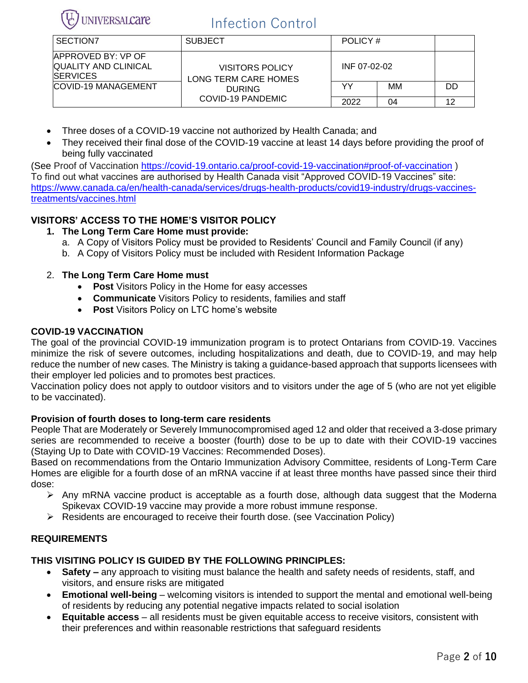

| SECTION <sub>7</sub>                                             | <b>SUBJECT</b>                                 | POLICY #     |    |    |
|------------------------------------------------------------------|------------------------------------------------|--------------|----|----|
| APPROVED BY: VP OF<br>QUALITY AND CLINICAL<br><b>ISERVICES</b>   | <b>VISITORS POLICY</b><br>LONG TERM CARE HOMES | INF 07-02-02 |    |    |
| <b>COVID-19 MANAGEMENT</b><br><b>DURING</b><br>COVID-19 PANDEMIC |                                                | YY           | MМ | DD |
|                                                                  |                                                | 2022         | 04 | 10 |

- Three doses of a COVID-19 vaccine not authorized by Health Canada; and
- They received their final dose of the COVID-19 vaccine at least 14 days before providing the proof of being fully vaccinated

(See Proof of Vaccination <https://covid-19.ontario.ca/proof-covid-19-vaccination#proof-of-vaccination> ) To find out what vaccines are authorised by Health Canada visit "Approved COVID-19 Vaccines" site: [https://www.canada.ca/en/health-canada/services/drugs-health-products/covid19-industry/drugs-vaccines](https://www.canada.ca/en/health-canada/services/drugs-health-products/covid19-industry/drugs-vaccines-treatments/vaccines.html)[treatments/vaccines.html](https://www.canada.ca/en/health-canada/services/drugs-health-products/covid19-industry/drugs-vaccines-treatments/vaccines.html)

## **VISITORS' ACCESS TO THE HOME'S VISITOR POLICY**

### **1. The Long Term Care Home must provide:**

- a. A Copy of Visitors Policy must be provided to Residents' Council and Family Council (if any)
- b. A Copy of Visitors Policy must be included with Resident Information Package

### 2. **The Long Term Care Home must**

- **Post** Visitors Policy in the Home for easy accesses
- **Communicate** Visitors Policy to residents, families and staff
- **Post** Visitors Policy on LTC home's website

### **COVID-19 VACCINATION**

The goal of the provincial COVID-19 immunization program is to protect Ontarians from COVID-19. Vaccines minimize the risk of severe outcomes, including hospitalizations and death, due to COVID-19, and may help reduce the number of new cases. The Ministry is taking a guidance-based approach that supports licensees with their employer led policies and to promotes best practices.

Vaccination policy does not apply to outdoor visitors and to visitors under the age of 5 (who are not yet eligible to be vaccinated).

#### **Provision of fourth doses to long-term care residents**

People That are Moderately or Severely Immunocompromised aged 12 and older that received a 3-dose primary series are recommended to receive a booster (fourth) dose to be up to date with their COVID-19 vaccines (Staying Up to Date with COVID-19 Vaccines: Recommended Doses).

Based on recommendations from the Ontario Immunization Advisory Committee, residents of Long-Term Care Homes are eligible for a fourth dose of an mRNA vaccine if at least three months have passed since their third dose:

- ➢ Any mRNA vaccine product is acceptable as a fourth dose, although data suggest that the Moderna Spikevax COVID-19 vaccine may provide a more robust immune response.
- ➢ Residents are encouraged to receive their fourth dose. (see Vaccination Policy)

### **REQUIREMENTS**

### **THIS VISITING POLICY IS GUIDED BY THE FOLLOWING PRINCIPLES:**

- **Safety –** any approach to visiting must balance the health and safety needs of residents, staff, and visitors, and ensure risks are mitigated
- **Emotional well-being** welcoming visitors is intended to support the mental and emotional well-being of residents by reducing any potential negative impacts related to social isolation
- **Equitable access** all residents must be given equitable access to receive visitors, consistent with their preferences and within reasonable restrictions that safeguard residents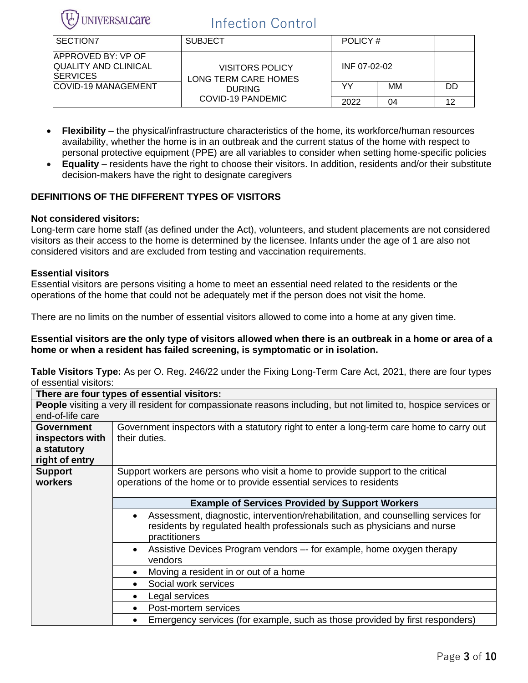

| SECTION7                                                              | <b>SUBJECT</b>                                                                       | POLICY #     |    |    |
|-----------------------------------------------------------------------|--------------------------------------------------------------------------------------|--------------|----|----|
| APPROVED BY: VP OF<br><b>QUALITY AND CLINICAL</b><br><b>ISERVICES</b> | <b>VISITORS POLICY</b><br>LONG TERM CARE HOMES<br><b>DURING</b><br>COVID-19 PANDEMIC | INF 07-02-02 |    |    |
| <b>COVID-19 MANAGEMENT</b>                                            |                                                                                      | YY           | MМ | DD |
|                                                                       |                                                                                      | 2022         | 04 | 10 |

- **Flexibility** the physical/infrastructure characteristics of the home, its workforce/human resources availability, whether the home is in an outbreak and the current status of the home with respect to personal protective equipment (PPE) are all variables to consider when setting home-specific policies
- **Equality** residents have the right to choose their visitors. In addition, residents and/or their substitute decision-makers have the right to designate caregivers

### **DEFINITIONS OF THE DIFFERENT TYPES OF VISITORS**

#### **Not considered visitors:**

Long-term care home staff (as defined under the Act), volunteers, and student placements are not considered visitors as their access to the home is determined by the licensee. Infants under the age of 1 are also not considered visitors and are excluded from testing and vaccination requirements.

#### **Essential visitors**

Essential visitors are persons visiting a home to meet an essential need related to the residents or the operations of the home that could not be adequately met if the person does not visit the home.

There are no limits on the number of essential visitors allowed to come into a home at any given time.

**Essential visitors are the only type of visitors allowed when there is an outbreak in a home or area of a home or when a resident has failed screening, is symptomatic or in isolation.**

**Table Visitors Type:** As per O. Reg. 246/22 under the Fixing Long-Term Care Act, 2021, there are four types of essential visitors:

|                   | There are four types of essential visitors:                                                                      |  |  |  |  |  |
|-------------------|------------------------------------------------------------------------------------------------------------------|--|--|--|--|--|
|                   | People visiting a very ill resident for compassionate reasons including, but not limited to, hospice services or |  |  |  |  |  |
| end-of-life care  |                                                                                                                  |  |  |  |  |  |
| <b>Government</b> | Government inspectors with a statutory right to enter a long-term care home to carry out                         |  |  |  |  |  |
| inspectors with   | their duties.                                                                                                    |  |  |  |  |  |
| a statutory       |                                                                                                                  |  |  |  |  |  |
| right of entry    |                                                                                                                  |  |  |  |  |  |
| <b>Support</b>    | Support workers are persons who visit a home to provide support to the critical                                  |  |  |  |  |  |
| workers           | operations of the home or to provide essential services to residents                                             |  |  |  |  |  |
|                   |                                                                                                                  |  |  |  |  |  |
|                   | <b>Example of Services Provided by Support Workers</b>                                                           |  |  |  |  |  |
|                   | Assessment, diagnostic, intervention/rehabilitation, and counselling services for<br>$\bullet$                   |  |  |  |  |  |
|                   | residents by regulated health professionals such as physicians and nurse                                         |  |  |  |  |  |
|                   | practitioners                                                                                                    |  |  |  |  |  |
|                   | Assistive Devices Program vendors -- for example, home oxygen therapy<br>$\bullet$                               |  |  |  |  |  |
|                   | vendors                                                                                                          |  |  |  |  |  |
|                   | Moving a resident in or out of a home<br>$\bullet$                                                               |  |  |  |  |  |
|                   | Social work services<br>$\bullet$                                                                                |  |  |  |  |  |
|                   | Legal services<br>$\bullet$                                                                                      |  |  |  |  |  |
|                   | Post-mortem services<br>$\bullet$                                                                                |  |  |  |  |  |
|                   | Emergency services (for example, such as those provided by first responders)<br>$\bullet$                        |  |  |  |  |  |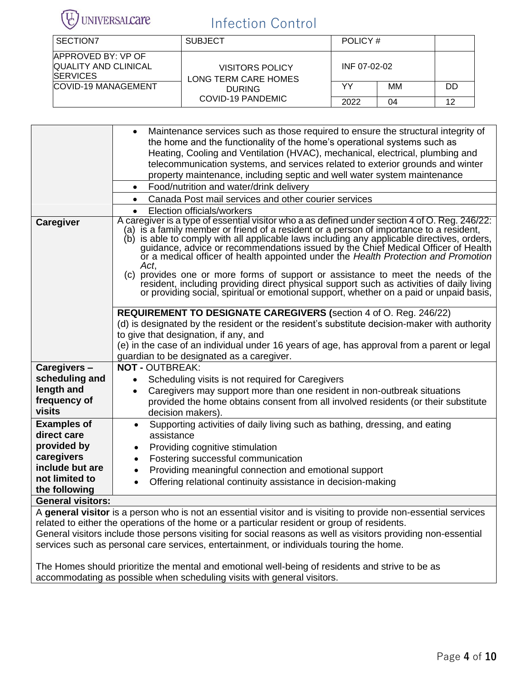

| SECTION7                                                                     | <b>SUBJECT</b>                          | POLICY#      |    |    |
|------------------------------------------------------------------------------|-----------------------------------------|--------------|----|----|
| <b>APPROVED BY: VP OF</b><br><b>QUALITY AND CLINICAL</b><br><b>ISERVICES</b> | VISITORS POLICY<br>LONG TERM CARE HOMES | INF 07-02-02 |    |    |
| <b>COVID-19 MANAGEMENT</b><br><b>DURING</b><br>COVID-19 PANDEMIC             | YY                                      | MМ           | DD |    |
|                                                                              |                                         | 2022         | 04 | 12 |

|                          | Maintenance services such as those required to ensure the structural integrity of<br>the home and the functionality of the home's operational systems such as<br>Heating, Cooling and Ventilation (HVAC), mechanical, electrical, plumbing and                                                                                                                                                                                                                                                                                                                                                                                                       |  |  |  |  |
|--------------------------|------------------------------------------------------------------------------------------------------------------------------------------------------------------------------------------------------------------------------------------------------------------------------------------------------------------------------------------------------------------------------------------------------------------------------------------------------------------------------------------------------------------------------------------------------------------------------------------------------------------------------------------------------|--|--|--|--|
|                          | telecommunication systems, and services related to exterior grounds and winter                                                                                                                                                                                                                                                                                                                                                                                                                                                                                                                                                                       |  |  |  |  |
|                          | property maintenance, including septic and well water system maintenance                                                                                                                                                                                                                                                                                                                                                                                                                                                                                                                                                                             |  |  |  |  |
|                          | Food/nutrition and water/drink delivery<br>$\bullet$                                                                                                                                                                                                                                                                                                                                                                                                                                                                                                                                                                                                 |  |  |  |  |
|                          | Canada Post mail services and other courier services<br>$\bullet$                                                                                                                                                                                                                                                                                                                                                                                                                                                                                                                                                                                    |  |  |  |  |
|                          | Election officials/workers<br>A caregiver is a type of essential visitor who a as defined under section 4 of O. Reg. 246/22:                                                                                                                                                                                                                                                                                                                                                                                                                                                                                                                         |  |  |  |  |
| <b>Caregiver</b>         | (a) is a family member or friend of a resident or a person of importance to a resident,<br>(b) is able to comply with all applicable laws including any applicable directives, orders,<br>guidance, advice or recommendations issued by the Chief Medical Officer of Health<br>or a medical officer of health appointed under the Health Protection and Promotion<br>Act,<br>(c) provides one or more forms of support or assistance to meet the needs of the<br>resident, including providing direct physical support such as activities of daily living<br>or providing social, spiritual or emotional support, whether on a paid or unpaid basis, |  |  |  |  |
|                          | <b>REQUIREMENT TO DESIGNATE CAREGIVERS (section 4 of O. Reg. 246/22)</b>                                                                                                                                                                                                                                                                                                                                                                                                                                                                                                                                                                             |  |  |  |  |
|                          | (d) is designated by the resident or the resident's substitute decision-maker with authority                                                                                                                                                                                                                                                                                                                                                                                                                                                                                                                                                         |  |  |  |  |
|                          | to give that designation, if any, and                                                                                                                                                                                                                                                                                                                                                                                                                                                                                                                                                                                                                |  |  |  |  |
|                          | (e) in the case of an individual under 16 years of age, has approval from a parent or legal                                                                                                                                                                                                                                                                                                                                                                                                                                                                                                                                                          |  |  |  |  |
| Caregivers-              | guardian to be designated as a caregiver.<br><b>NOT - OUTBREAK:</b>                                                                                                                                                                                                                                                                                                                                                                                                                                                                                                                                                                                  |  |  |  |  |
| scheduling and           | Scheduling visits is not required for Caregivers                                                                                                                                                                                                                                                                                                                                                                                                                                                                                                                                                                                                     |  |  |  |  |
| length and               | Caregivers may support more than one resident in non-outbreak situations                                                                                                                                                                                                                                                                                                                                                                                                                                                                                                                                                                             |  |  |  |  |
| frequency of             | provided the home obtains consent from all involved residents (or their substitute                                                                                                                                                                                                                                                                                                                                                                                                                                                                                                                                                                   |  |  |  |  |
| <b>visits</b>            | decision makers).                                                                                                                                                                                                                                                                                                                                                                                                                                                                                                                                                                                                                                    |  |  |  |  |
| <b>Examples of</b>       | Supporting activities of daily living such as bathing, dressing, and eating<br>$\bullet$                                                                                                                                                                                                                                                                                                                                                                                                                                                                                                                                                             |  |  |  |  |
| direct care              | assistance                                                                                                                                                                                                                                                                                                                                                                                                                                                                                                                                                                                                                                           |  |  |  |  |
| provided by              | Providing cognitive stimulation<br>$\bullet$                                                                                                                                                                                                                                                                                                                                                                                                                                                                                                                                                                                                         |  |  |  |  |
| caregivers               | Fostering successful communication<br>$\bullet$                                                                                                                                                                                                                                                                                                                                                                                                                                                                                                                                                                                                      |  |  |  |  |
| include but are          | Providing meaningful connection and emotional support<br>$\bullet$                                                                                                                                                                                                                                                                                                                                                                                                                                                                                                                                                                                   |  |  |  |  |
| not limited to           | Offering relational continuity assistance in decision-making                                                                                                                                                                                                                                                                                                                                                                                                                                                                                                                                                                                         |  |  |  |  |
| the following            |                                                                                                                                                                                                                                                                                                                                                                                                                                                                                                                                                                                                                                                      |  |  |  |  |
| <b>General visitors:</b> |                                                                                                                                                                                                                                                                                                                                                                                                                                                                                                                                                                                                                                                      |  |  |  |  |

A **general visitor** is a person who is not an essential visitor and is visiting to provide non-essential services related to either the operations of the home or a particular resident or group of residents. General visitors include those persons visiting for social reasons as well as visitors providing non-essential services such as personal care services, entertainment, or individuals touring the home.

The Homes should prioritize the mental and emotional well-being of residents and strive to be as accommodating as possible when scheduling visits with general visitors.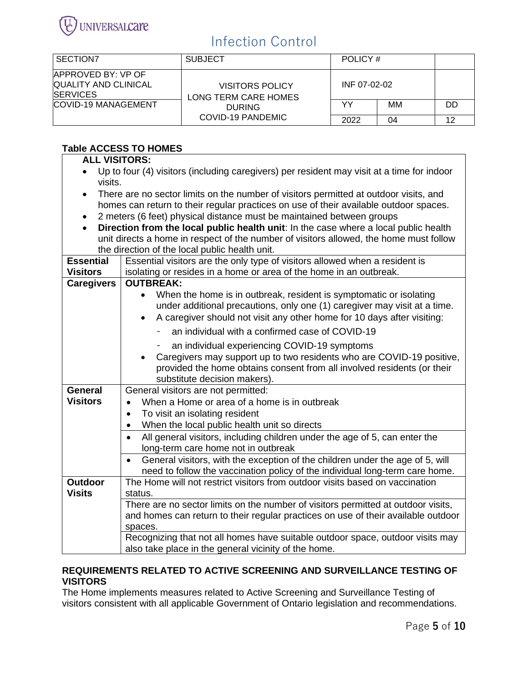

| SECTION <sub>7</sub>                                                  | <b>SUBJECT</b>                                 | POLICY #     |    |    |
|-----------------------------------------------------------------------|------------------------------------------------|--------------|----|----|
| APPROVED BY: VP OF<br><b>QUALITY AND CLINICAL</b><br><b>ISERVICES</b> | <b>VISITORS POLICY</b><br>LONG TERM CARE HOMES | INF 07-02-02 |    |    |
| <b>COVID-19 MANAGEMENT</b>                                            | <b>DURING</b><br><b>COVID-19 PANDEMIC</b>      | YY           | MМ | DD |
|                                                                       |                                                | 2022         | 04 | 12 |

### **Table ACCESS TO HOMES**

| <b>ALL VISITORS:</b> |                                                                                                                                                                                |
|----------------------|--------------------------------------------------------------------------------------------------------------------------------------------------------------------------------|
|                      | Up to four (4) visitors (including caregivers) per resident may visit at a time for indoor                                                                                     |
| visits.              |                                                                                                                                                                                |
| $\bullet$            | There are no sector limits on the number of visitors permitted at outdoor visits, and<br>homes can return to their regular practices on use of their available outdoor spaces. |
| $\bullet$            | 2 meters (6 feet) physical distance must be maintained between groups                                                                                                          |
| $\bullet$            | Direction from the local public health unit: In the case where a local public health                                                                                           |
|                      | unit directs a home in respect of the number of visitors allowed, the home must follow                                                                                         |
|                      | the direction of the local public health unit.                                                                                                                                 |
| <b>Essential</b>     | Essential visitors are the only type of visitors allowed when a resident is                                                                                                    |
| <b>Visitors</b>      | isolating or resides in a home or area of the home in an outbreak.                                                                                                             |
| <b>Caregivers</b>    | <b>OUTBREAK:</b>                                                                                                                                                               |
|                      | When the home is in outbreak, resident is symptomatic or isolating<br>$\bullet$<br>under additional precautions, only one (1) caregiver may visit at a time.                   |
|                      | A caregiver should not visit any other home for 10 days after visiting:<br>$\bullet$                                                                                           |
|                      | an individual with a confirmed case of COVID-19                                                                                                                                |
|                      | an individual experiencing COVID-19 symptoms                                                                                                                                   |
|                      | Caregivers may support up to two residents who are COVID-19 positive,                                                                                                          |
|                      | provided the home obtains consent from all involved residents (or their                                                                                                        |
|                      | substitute decision makers).                                                                                                                                                   |
| <b>General</b>       | General visitors are not permitted:                                                                                                                                            |
| <b>Visitors</b>      | When a Home or area of a home is in outbreak<br>$\bullet$                                                                                                                      |
|                      | To visit an isolating resident<br>$\bullet$                                                                                                                                    |
|                      | When the local public health unit so directs<br>$\bullet$                                                                                                                      |
|                      | All general visitors, including children under the age of 5, can enter the<br>long-term care home not in outbreak                                                              |
|                      | General visitors, with the exception of the children under the age of 5, will<br>$\bullet$                                                                                     |
|                      | need to follow the vaccination policy of the individual long-term care home.                                                                                                   |
| <b>Outdoor</b>       | The Home will not restrict visitors from outdoor visits based on vaccination                                                                                                   |
| <b>Visits</b>        | status.                                                                                                                                                                        |
|                      | There are no sector limits on the number of visitors permitted at outdoor visits,                                                                                              |
|                      | and homes can return to their regular practices on use of their available outdoor                                                                                              |
|                      | spaces.<br>Recognizing that not all homes have suitable outdoor space, outdoor visits may                                                                                      |
|                      | also take place in the general vicinity of the home.                                                                                                                           |

#### **REQUIREMENTS RELATED TO ACTIVE SCREENING AND SURVEILLANCE TESTING OF VISITORS**

The Home implements measures related to Active Screening and Surveillance Testing of visitors consistent with all applicable Government of Ontario legislation and recommendations.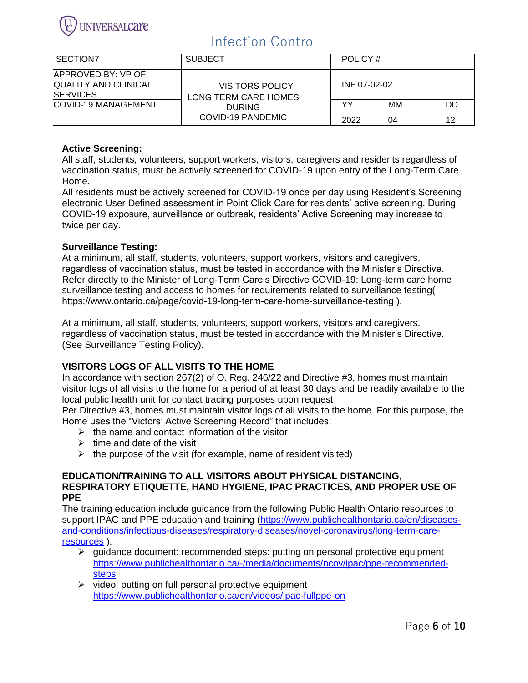

| I SECTION7                                                                                          | <b>SUBJECT</b>                                                                       | POLICY #     |    |    |
|-----------------------------------------------------------------------------------------------------|--------------------------------------------------------------------------------------|--------------|----|----|
| APPROVED BY: VP OF<br><b>QUALITY AND CLINICAL</b><br><b>ISERVICES</b><br><b>COVID-19 MANAGEMENT</b> | <b>VISITORS POLICY</b><br>LONG TERM CARE HOMES<br><b>DURING</b><br>COVID-19 PANDEMIC | INF 07-02-02 |    |    |
|                                                                                                     |                                                                                      | YY           | MМ | DD |
|                                                                                                     |                                                                                      | 2022         | 04 | 12 |

### **Active Screening:**

All staff, students, volunteers, support workers, visitors, caregivers and residents regardless of vaccination status, must be actively screened for COVID-19 upon entry of the Long-Term Care Home.

All residents must be actively screened for COVID-19 once per day using Resident's Screening electronic User Defined assessment in Point Click Care for residents' active screening. During COVID-19 exposure, surveillance or outbreak, residents' Active Screening may increase to twice per day.

#### **Surveillance Testing:**

At a minimum, all staff, students, volunteers, support workers, visitors and caregivers, regardless of vaccination status, must be tested in accordance with the Minister's Directive. Refer directly to the Minister of Long-Term Care's Directive COVID-19: Long-term care home surveillance testing and access to homes for requirements related to surveillance testing( <https://www.ontario.ca/page/covid-19-long-term-care-home-surveillance-testing> ).

At a minimum, all staff, students, volunteers, support workers, visitors and caregivers, regardless of vaccination status, must be tested in accordance with the Minister's Directive. (See Surveillance Testing Policy).

### **VISITORS LOGS OF ALL VISITS TO THE HOME**

In accordance with section 267(2) of O. Reg. 246/22 and Directive #3, homes must maintain visitor logs of all visits to the home for a period of at least 30 days and be readily available to the local public health unit for contact tracing purposes upon request

Per Directive #3, homes must maintain visitor logs of all visits to the home. For this purpose, the Home uses the "Victors' Active Screening Record" that includes:

- $\triangleright$  the name and contact information of the visitor
- $\triangleright$  time and date of the visit
- $\triangleright$  the purpose of the visit (for example, name of resident visited)

#### **EDUCATION/TRAINING TO ALL VISITORS ABOUT PHYSICAL DISTANCING, RESPIRATORY ETIQUETTE, HAND HYGIENE, IPAC PRACTICES, AND PROPER USE OF PPE**

The training education include guidance from the following Public Health Ontario resources to support IPAC and PPE education and training [\(https://www.publichealthontario.ca/en/diseases](https://www.publichealthontario.ca/en/diseases-and-conditions/infectious-diseases/respiratory-diseases/novel-coronavirus/long-term-care-resources)[and-conditions/infectious-diseases/respiratory-diseases/novel-coronavirus/long-term-care](https://www.publichealthontario.ca/en/diseases-and-conditions/infectious-diseases/respiratory-diseases/novel-coronavirus/long-term-care-resources)[resources](https://www.publichealthontario.ca/en/diseases-and-conditions/infectious-diseases/respiratory-diseases/novel-coronavirus/long-term-care-resources) ):

- $\triangleright$  quidance document: recommended steps: putting on personal protective equipment [https://www.publichealthontario.ca/-/media/documents/ncov/ipac/ppe-recommended](https://www.publichealthontario.ca/-/media/documents/ncov/ipac/ppe-recommended-steps)[steps](https://www.publichealthontario.ca/-/media/documents/ncov/ipac/ppe-recommended-steps)
- $\triangleright$  video: putting on full personal protective equipment <https://www.publichealthontario.ca/en/videos/ipac-fullppe-on>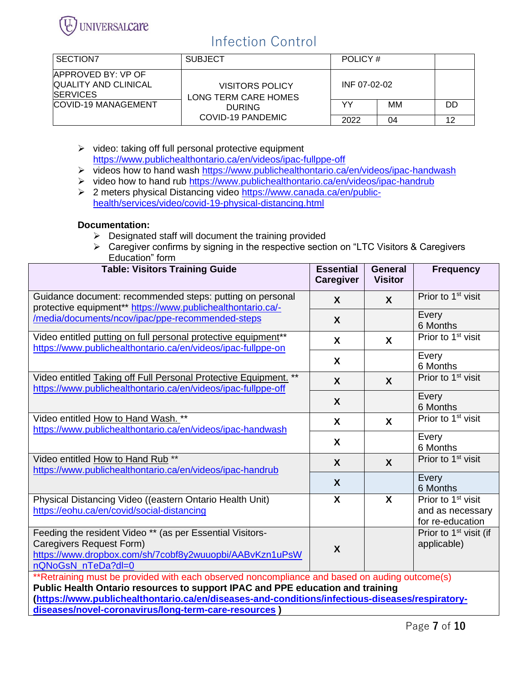

| l SECTION7                                                                   | <b>SUBJECT</b>                                                 | POLICY # |    |    |
|------------------------------------------------------------------------------|----------------------------------------------------------------|----------|----|----|
| <b>APPROVED BY: VP OF</b><br><b>QUALITY AND CLINICAL</b><br><b>ISERVICES</b> | INF 07-02-02<br><b>VISITORS POLICY</b><br>LONG TERM CARE HOMES |          |    |    |
| <b>COVID-19 MANAGEMENT</b>                                                   | <b>DURING</b><br>COVID-19 PANDEMIC                             | YY       | MМ | DD |
|                                                                              |                                                                | 2022     | 04 | 12 |

- ➢ video: taking off full personal protective equipment <https://www.publichealthontario.ca/en/videos/ipac-fullppe-off>
- ➢ videos how to hand wash<https://www.publichealthontario.ca/en/videos/ipac-handwash>
- ➢ video how to hand rub<https://www.publichealthontario.ca/en/videos/ipac-handrub>
- ➢ 2 meters physical Distancing video [https://www.canada.ca/en/public](https://www.canada.ca/en/public-health/services/video/covid-19-physical-distancing.html)[health/services/video/covid-19-physical-distancing.html](https://www.canada.ca/en/public-health/services/video/covid-19-physical-distancing.html)

#### **Documentation:**

- ➢ Designated staff will document the training provided
- ➢ Caregiver confirms by signing in the respective section on "LTC Visitors & Caregivers Education" form

| <b>Table: Visitors Training Guide</b>                                                                                                                                                                                                                                              | <b>Essential</b><br><b>Caregiver</b> | <b>General</b><br><b>Visitor</b> | <b>Frequency</b>                                                       |  |  |
|------------------------------------------------------------------------------------------------------------------------------------------------------------------------------------------------------------------------------------------------------------------------------------|--------------------------------------|----------------------------------|------------------------------------------------------------------------|--|--|
| Guidance document: recommended steps: putting on personal<br>protective equipment** https://www.publichealthontario.ca/-                                                                                                                                                           | $\boldsymbol{X}$                     | $\boldsymbol{X}$                 | Prior to 1 <sup>st</sup> visit                                         |  |  |
| /media/documents/ncov/ipac/ppe-recommended-steps                                                                                                                                                                                                                                   | $\boldsymbol{X}$                     |                                  | Every<br>6 Months                                                      |  |  |
| Video entitled putting on full personal protective equipment <sup>**</sup><br>https://www.publichealthontario.ca/en/videos/ipac-fullppe-on                                                                                                                                         | $\mathsf{X}$                         | $\mathbf{x}$                     | Prior to 1 <sup>st</sup> visit                                         |  |  |
|                                                                                                                                                                                                                                                                                    | X                                    |                                  | Every<br>6 Months                                                      |  |  |
| Video entitled Taking off Full Personal Protective Equipment. **<br>https://www.publichealthontario.ca/en/videos/ipac-fullppe-off                                                                                                                                                  | $\boldsymbol{X}$                     | $\boldsymbol{\mathsf{X}}$        | Prior to 1 <sup>st</sup> visit                                         |  |  |
|                                                                                                                                                                                                                                                                                    | $\mathbf{x}$                         |                                  | Every<br>6 Months                                                      |  |  |
| Video entitled How to Hand Wash. **<br>https://www.publichealthontario.ca/en/videos/ipac-handwash                                                                                                                                                                                  | X                                    | $\mathbf{x}$                     | Prior to 1 <sup>st</sup> visit                                         |  |  |
|                                                                                                                                                                                                                                                                                    | X                                    |                                  | Every<br>6 Months                                                      |  |  |
| Video entitled How to Hand Rub **<br>https://www.publichealthontario.ca/en/videos/ipac-handrub                                                                                                                                                                                     | $\boldsymbol{\mathsf{X}}$            | $\mathbf x$                      | Prior to 1 <sup>st</sup> visit                                         |  |  |
|                                                                                                                                                                                                                                                                                    | X                                    |                                  | Every<br>6 Months                                                      |  |  |
| Physical Distancing Video ((eastern Ontario Health Unit)<br>https://eohu.ca/en/covid/social-distancing                                                                                                                                                                             | X                                    | $\overline{\mathbf{x}}$          | Prior to 1 <sup>st</sup> visit<br>and as necessary<br>for re-education |  |  |
| Feeding the resident Video ** (as per Essential Visitors-<br>Caregivers Request Form)<br>https://www.dropbox.com/sh/7cobf8y2wuuopbi/AABvKzn1uPsW<br>nQNoGsN nTeDa?dl=0                                                                                                             | X                                    |                                  | Prior to 1 <sup>st</sup> visit (if<br>applicable)                      |  |  |
| **Retraining must be provided with each observed noncompliance and based on auding outcome(s)<br>Public Health Ontario resources to support IPAC and PPE education and training<br>(https://www.publichealthontario.ca/en/diseases-and-conditions/infectious-diseases/respiratory- |                                      |                                  |                                                                        |  |  |
| diseases/novel-coronavirus/long-term-care-resources )                                                                                                                                                                                                                              |                                      |                                  |                                                                        |  |  |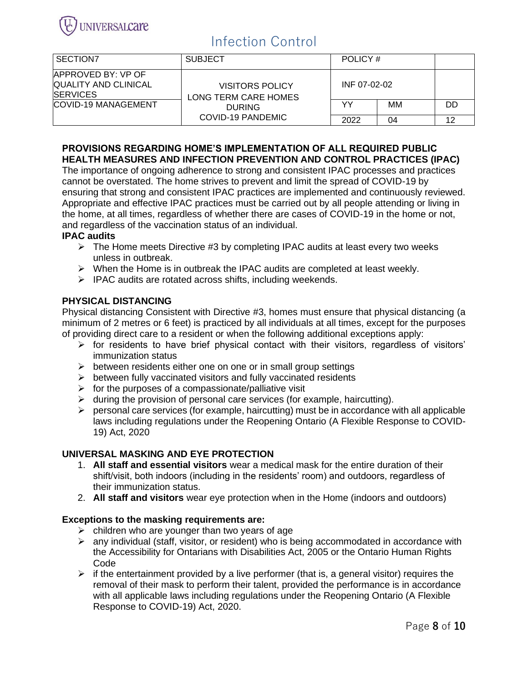

| I SECTION7                                                            | <b>SUBJECT</b>                                 | POLICY#      |    |    |
|-----------------------------------------------------------------------|------------------------------------------------|--------------|----|----|
| <b>APPROVED BY: VP OF</b><br>QUALITY AND CLINICAL<br><b>ISERVICES</b> | <b>VISITORS POLICY</b><br>LONG TERM CARE HOMES | INF 07-02-02 |    |    |
| <b>COVID-19 MANAGEMENT</b>                                            | <b>DURING</b><br>COVID-19 PANDEMIC             | YY           | MМ | DD |
|                                                                       |                                                | 2022         | 04 | 12 |

#### **PROVISIONS REGARDING HOME'S IMPLEMENTATION OF ALL REQUIRED PUBLIC HEALTH MEASURES AND INFECTION PREVENTION AND CONTROL PRACTICES (IPAC)**

The importance of ongoing adherence to strong and consistent IPAC processes and practices cannot be overstated. The home strives to prevent and limit the spread of COVID-19 by ensuring that strong and consistent IPAC practices are implemented and continuously reviewed. Appropriate and effective IPAC practices must be carried out by all people attending or living in the home, at all times, regardless of whether there are cases of COVID-19 in the home or not, and regardless of the vaccination status of an individual.

#### **IPAC audits**

- $\triangleright$  The Home meets Directive #3 by completing IPAC audits at least every two weeks unless in outbreak.
- ➢ When the Home is in outbreak the IPAC audits are completed at least weekly.
- ➢ IPAC audits are rotated across shifts, including weekends.

#### **PHYSICAL DISTANCING**

Physical distancing Consistent with Directive #3, homes must ensure that physical distancing (a minimum of 2 metres or 6 feet) is practiced by all individuals at all times, except for the purposes of providing direct care to a resident or when the following additional exceptions apply:

- ➢ for residents to have brief physical contact with their visitors, regardless of visitors' immunization status
- $\triangleright$  between residents either one on one or in small group settings
- $\triangleright$  between fully vaccinated visitors and fully vaccinated residents
- $\triangleright$  for the purposes of a compassionate/palliative visit
- ➢ during the provision of personal care services (for example, haircutting).
- $\triangleright$  personal care services (for example, haircutting) must be in accordance with all applicable laws including regulations under the Reopening Ontario (A Flexible Response to COVID-19) Act, 2020

#### **UNIVERSAL MASKING AND EYE PROTECTION**

- 1. **All staff and essential visitors** wear a medical mask for the entire duration of their shift/visit, both indoors (including in the residents' room) and outdoors, regardless of their immunization status.
- 2. **All staff and visitors** wear eye protection when in the Home (indoors and outdoors)

#### **Exceptions to the masking requirements are:**

- $\triangleright$  children who are younger than two years of age
- ➢ any individual (staff, visitor, or resident) who is being accommodated in accordance with the Accessibility for Ontarians with Disabilities Act, 2005 or the Ontario Human Rights Code
- $\triangleright$  if the entertainment provided by a live performer (that is, a general visitor) requires the removal of their mask to perform their talent, provided the performance is in accordance with all applicable laws including regulations under the Reopening Ontario (A Flexible Response to COVID-19) Act, 2020.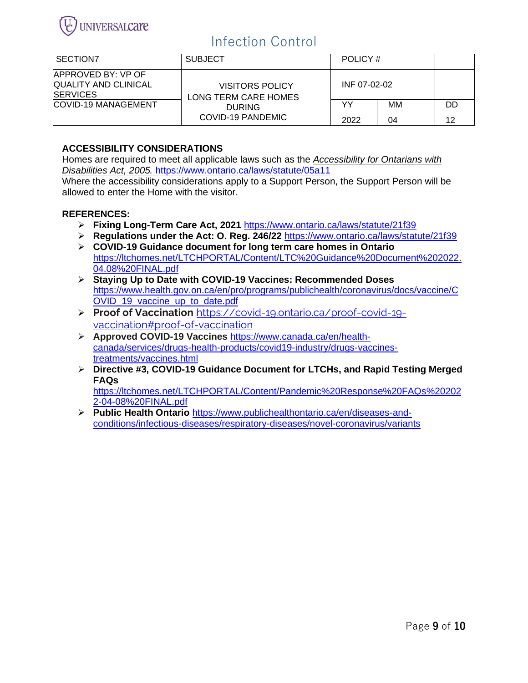

| I SECTION7                                                                    | <b>SUBJECT</b>                                                                       | POLICY #     |    |    |
|-------------------------------------------------------------------------------|--------------------------------------------------------------------------------------|--------------|----|----|
| <b>IAPPROVED BY: VP OF</b><br><b>QUALITY AND CLINICAL</b><br><b>ISERVICES</b> | <b>VISITORS POLICY</b><br>LONG TERM CARE HOMES<br><b>DURING</b><br>COVID-19 PANDEMIC | INF 07-02-02 |    |    |
| <b>COVID-19 MANAGEMENT</b>                                                    |                                                                                      | YY           | MМ | DD |
|                                                                               |                                                                                      | 2022         | 04 | 12 |

### **ACCESSIBILITY CONSIDERATIONS**

Homes are required to meet all applicable laws such as the *Accessibility for Ontarians with Disabilities Act, 2005.* <https://www.ontario.ca/laws/statute/05a11>

Where the accessibility considerations apply to a Support Person, the Support Person will be allowed to enter the Home with the visitor.

#### **REFERENCES:**

- ➢ **Fixing Long-Term Care Act, 2021** <https://www.ontario.ca/laws/statute/21f39>
- ➢ **Regulations under the Act: O. Reg. 246/22** <https://www.ontario.ca/laws/statute/21f39>
- ➢ **COVID-19 Guidance document for long term care homes in Ontario** [https://ltchomes.net/LTCHPORTAL/Content/LTC%20Guidance%20Document%202022.](https://ltchomes.net/LTCHPORTAL/Content/LTC%20Guidance%20Document%202022.04.08%20FINAL.pdf) [04.08%20FINAL.pdf](https://ltchomes.net/LTCHPORTAL/Content/LTC%20Guidance%20Document%202022.04.08%20FINAL.pdf)
- ➢ **Staying Up to Date with COVID-19 Vaccines: Recommended Doses** [https://www.health.gov.on.ca/en/pro/programs/publichealth/coronavirus/docs/vaccine/C](https://www.health.gov.on.ca/en/pro/programs/publichealth/coronavirus/docs/vaccine/COVID_19_vaccine_up_to_date.pdf) OVID 19 vaccine up to date.pdf
- ➢ **Proof of Vaccination** [https://covid-19.ontario.ca/proof-covid-19](https://covid-19.ontario.ca/proof-covid-19-vaccination#proof-of-vaccination) [vaccination#proof-of-vaccination](https://covid-19.ontario.ca/proof-covid-19-vaccination#proof-of-vaccination)
- ➢ **Approved COVID-19 Vaccines** [https://www.canada.ca/en/health](https://www.canada.ca/en/health-canada/services/drugs-health-products/covid19-industry/drugs-vaccines-treatments/vaccines.html)[canada/services/drugs-health-products/covid19-industry/drugs-vaccines](https://www.canada.ca/en/health-canada/services/drugs-health-products/covid19-industry/drugs-vaccines-treatments/vaccines.html)[treatments/vaccines.html](https://www.canada.ca/en/health-canada/services/drugs-health-products/covid19-industry/drugs-vaccines-treatments/vaccines.html)
- ➢ **Directive #3, COVID-19 Guidance Document for LTCHs, and Rapid Testing Merged FAQs**

[https://ltchomes.net/LTCHPORTAL/Content/Pandemic%20Response%20FAQs%20202](https://ltchomes.net/LTCHPORTAL/Content/Pandemic%20Response%20FAQs%202022-04-08%20FINAL.pdf) [2-04-08%20FINAL.pdf](https://ltchomes.net/LTCHPORTAL/Content/Pandemic%20Response%20FAQs%202022-04-08%20FINAL.pdf)

➢ **Public Health Ontario** [https://www.publichealthontario.ca/en/diseases-and](https://www.publichealthontario.ca/en/diseases-and-conditions/infectious-diseases/respiratory-diseases/novel-coronavirus/variants)[conditions/infectious-diseases/respiratory-diseases/novel-coronavirus/variants](https://www.publichealthontario.ca/en/diseases-and-conditions/infectious-diseases/respiratory-diseases/novel-coronavirus/variants)